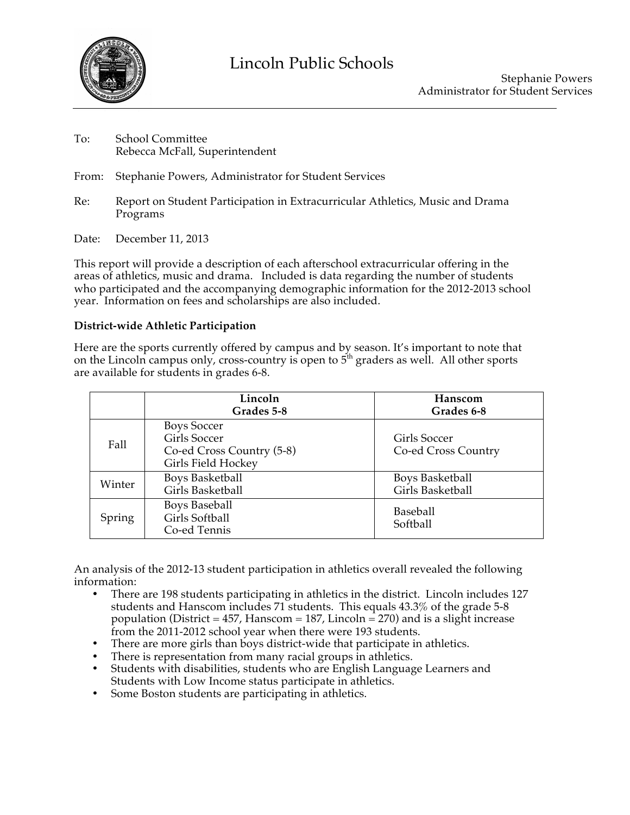

- To: School Committee Rebecca McFall, Superintendent
- From: Stephanie Powers, Administrator for Student Services
- Re: Report on Student Participation in Extracurricular Athletics, Music and Drama Programs
- Date: December 11, 2013

This report will provide a description of each afterschool extracurricular offering in the areas of athletics, music and drama. Included is data regarding the number of students who participated and the accompanying demographic information for the 2012-2013 school year. Information on fees and scholarships are also included.

# **District-wide Athletic Participation**

Here are the sports currently offered by campus and by season. It's important to note that on the Lincoln campus only, cross-country is open to  $5<sup>th</sup>$  graders as well. All other sports are available for students in grades 6-8.

|        | Lincoln<br>Grades 5-8                                                                 | Hanscom<br>Grades 6-8                      |
|--------|---------------------------------------------------------------------------------------|--------------------------------------------|
| Fall   | <b>Boys Soccer</b><br>Girls Soccer<br>Co-ed Cross Country (5-8)<br>Girls Field Hockey | Girls Soccer<br>Co-ed Cross Country        |
| Winter | <b>Boys Basketball</b><br>Girls Basketball                                            | <b>Boys Basketball</b><br>Girls Basketball |
| Spring | <b>Boys Baseball</b><br>Girls Softball<br>Co-ed Tennis                                | <b>Baseball</b><br>Softball                |

An analysis of the 2012-13 student participation in athletics overall revealed the following information:

- There are 198 students participating in athletics in the district. Lincoln includes 127 students and Hanscom includes 71 students. This equals 43.3% of the grade 5-8 population (District = 457, Hanscom = 187, Lincoln = 270) and is a slight increase from the 2011-2012 school year when there were 193 students.
- There are more girls than boys district-wide that participate in athletics.
- There is representation from many racial groups in athletics.
- Students with disabilities, students who are English Language Learners and Students with Low Income status participate in athletics.
- Some Boston students are participating in athletics.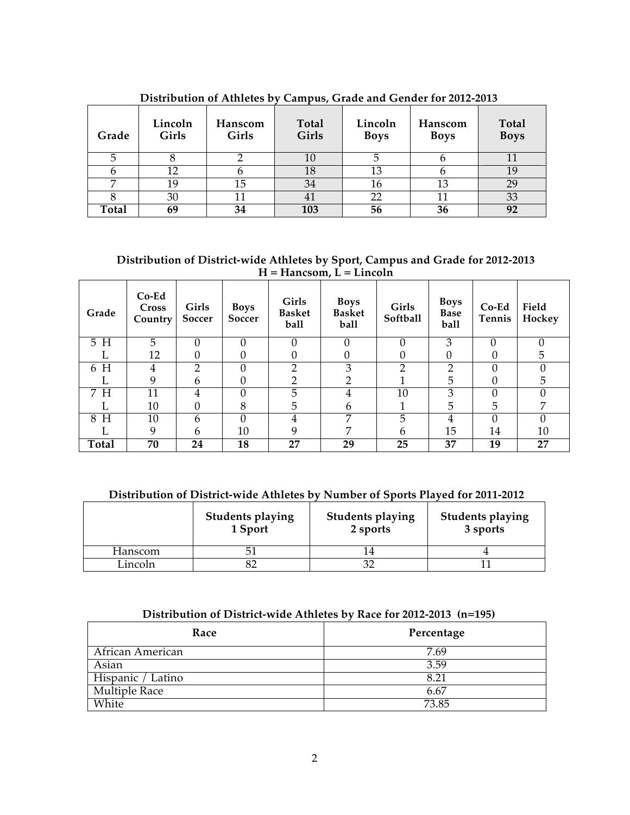| Grade | Lincoln<br>Girls | Hanscom<br>Girls | <b>Total</b><br>Girls | Lincoln<br><b>Boys</b> | Hanscom<br><b>Boys</b> | Total<br><b>Boys</b> |
|-------|------------------|------------------|-----------------------|------------------------|------------------------|----------------------|
|       |                  |                  | 10                    |                        |                        |                      |
|       | 12               |                  | 18                    | 13                     |                        |                      |
| −     | 19               | 15               | 34                    | 16                     | 13                     | 29                   |
|       | 30               |                  | 41                    | 22                     |                        | 33                   |
| Total | 69               | 34               | 103                   | 56                     | 36                     | 92                   |

**Distribution of Athletes by Campus, Grade and Gender for 2012-2013**

**Distribution of District-wide Athletes by Sport, Campus and Grade for 2012-2013 H = Hancsom, L = Lincoln**

| Grade  | $Co-Ed$<br>Cross<br>Country | Girls<br>Soccer | <b>Boys</b><br>Soccer | Girls<br><b>Basket</b><br>ball | <b>Boys</b><br><b>Basket</b><br>ball | Girls<br>Softball | <b>Boys</b><br><b>Base</b><br>ball | $Co-Ed$<br>Tennis | Field<br>Hockey |
|--------|-----------------------------|-----------------|-----------------------|--------------------------------|--------------------------------------|-------------------|------------------------------------|-------------------|-----------------|
| 5 H    | 5                           |                 |                       |                                |                                      |                   | 3                                  | በ                 |                 |
|        | 12                          |                 |                       |                                |                                      |                   |                                    |                   | 5               |
| 6 H    | 4                           |                 |                       |                                | 3                                    |                   | റ                                  |                   |                 |
|        | 9                           | h               |                       |                                |                                      |                   | 5                                  |                   | 5               |
| H<br>7 | 11                          | 4               |                       | 5                              |                                      | 10                | З                                  |                   |                 |
|        | 10                          |                 | 8                     | 5                              | h                                    |                   | 5                                  | 5                 |                 |
| H<br>8 | 10                          | h               |                       | 4                              | ⇁                                    | 5                 | 4                                  |                   |                 |
|        | 9                           | 6               | 10                    | q                              | ヮ                                    | 6                 | 15                                 | 14                | 10              |
| Total  | 70                          | 24              | 18                    | 27                             | 29                                   | 25                | 37                                 | 19                | 27              |

# **Distribution of District-wide Athletes by Number of Sports Played for 2011-2012**

|         | <b>Students playing</b><br>1 Sport | <b>Students playing</b><br>2 sports | <b>Students playing</b><br>3 sports |
|---------|------------------------------------|-------------------------------------|-------------------------------------|
| Hanscom |                                    |                                     |                                     |
| Lincoln |                                    |                                     |                                     |

# **Distribution of District-wide Athletes by Race for 2012-2013 (n=195)**

| Race                 | Percentage |
|----------------------|------------|
| African American     | 7.69       |
| Asian                | 3.59       |
| Hispanic / Latino    | 8.21       |
| <b>Multiple Race</b> | 6.67       |
| White                | 73.85      |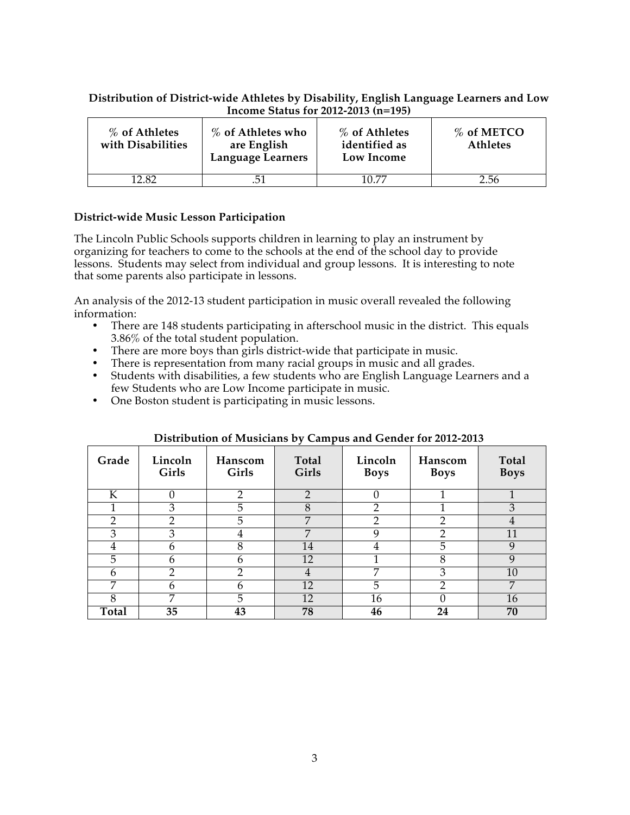### **Distribution of District-wide Athletes by Disability, English Language Learners and Low Income Status for 2012-2013 (n=195)**

| % of Athletes<br>with Disabilities | % of Athletes who<br>are English<br>Language Learners | % of Athletes<br>identified as<br>Low Income | $%$ of METCO<br><b>Athletes</b> |
|------------------------------------|-------------------------------------------------------|----------------------------------------------|---------------------------------|
| 12 82                              | .51                                                   | 10 77                                        | 2.56                            |

## **District-wide Music Lesson Participation**

The Lincoln Public Schools supports children in learning to play an instrument by organizing for teachers to come to the schools at the end of the school day to provide lessons. Students may select from individual and group lessons. It is interesting to note that some parents also participate in lessons.

An analysis of the 2012-13 student participation in music overall revealed the following information:

- There are 148 students participating in afterschool music in the district. This equals 3.86% of the total student population.
- There are more boys than girls district-wide that participate in music.
- There is representation from many racial groups in music and all grades.
- Students with disabilities, a few students who are English Language Learners and a few Students who are Low Income participate in music.
- One Boston student is participating in music lessons.

| Grade | Lincoln<br>Girls | Hanscom<br>Girls | Total<br>Girls | Lincoln<br><b>Boys</b> | Hanscom<br><b>Boys</b> | Total<br><b>Boys</b> |
|-------|------------------|------------------|----------------|------------------------|------------------------|----------------------|
| K     |                  | റ                | $\overline{2}$ |                        |                        |                      |
|       | 3                | 5                | 8              |                        |                        | 3                    |
| 2     | റ                | 5                | $\overline{7}$ | ∍                      | റ                      | 4                    |
| 3     | 3                | 4                | $\overline{7}$ | Q                      | C                      | 11                   |
| 4     | h                | 8                | 14             |                        | 5                      |                      |
| 5     | 6                | h                | 12             |                        | 8                      | q                    |
| 6     | റ                | ∩                | 4              | 7                      | 3                      | 10                   |
| 7     | h                | h                | 12             | 5                      | ∍                      | 7                    |
| 8     | 7                | 5                | 12             | 16                     |                        | 16                   |
| Total | 35               | 43               | 78             | 46                     | 24                     | 70                   |

### **Distribution of Musicians by Campus and Gender for 2012-2013**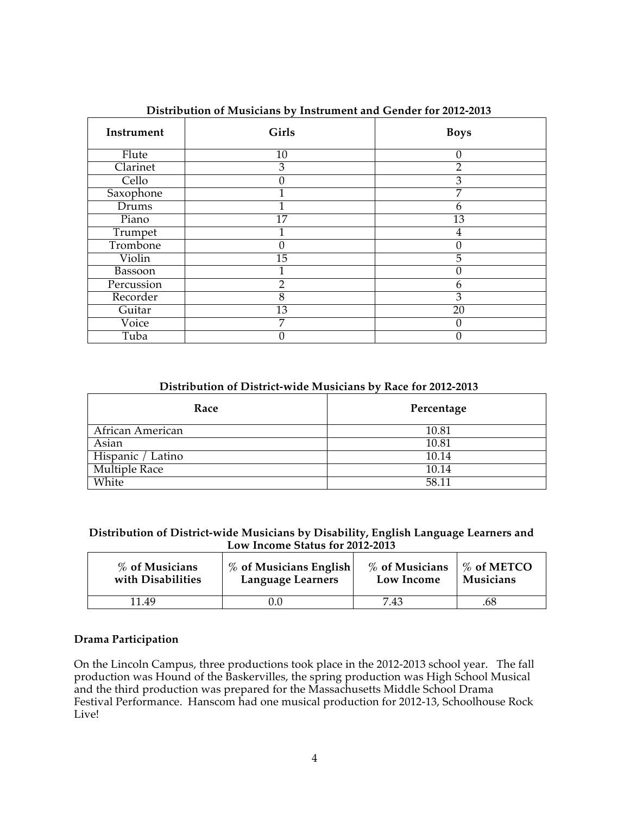| Instrument     | Girls           | <b>Boys</b>     |
|----------------|-----------------|-----------------|
| Flute          | 10              | 0               |
| Clarinet       | 3               | $\overline{2}$  |
| Cello          | O               | $\overline{3}$  |
| Saxophone      |                 | 7               |
| Drums          |                 | 6               |
| Piano          | $\overline{17}$ | 13              |
| Trumpet        |                 | 4               |
| Trombone       | 0               | 0               |
| Violin         | $\overline{15}$ | 5               |
| <b>Bassoon</b> |                 | 0               |
| Percussion     | $\overline{2}$  | 6               |
| Recorder       | 8               | 3               |
| Guitar         | $\overline{13}$ | $\overline{20}$ |
| Voice          | 7               | 0               |
| Tuba           |                 | 0               |

**Distribution of Musicians by Instrument and Gender for 2012-2013**

### **Distribution of District-wide Musicians by Race for 2012-2013**

| Race                 | Percentage |
|----------------------|------------|
| African American     | 10.81      |
| Asian                | 10.81      |
| Hispanic / Latino    | 10.14      |
| <b>Multiple Race</b> | 10.14      |
| White                | 58.11      |

### **Distribution of District-wide Musicians by Disability, English Language Learners and Low Income Status for 2012-2013**

| % of Musicians    | % of Musicians English | % of Musicians | $\frac{9}{6}$ of METCO |
|-------------------|------------------------|----------------|------------------------|
| with Disabilities | Language Learners      | Low Income     | Musicians              |
| 11.49             |                        | 7.43           | 68                     |

## **Drama Participation**

On the Lincoln Campus, three productions took place in the 2012-2013 school year. The fall production was Hound of the Baskervilles, the spring production was High School Musical and the third production was prepared for the Massachusetts Middle School Drama Festival Performance. Hanscom had one musical production for 2012-13, Schoolhouse Rock Live!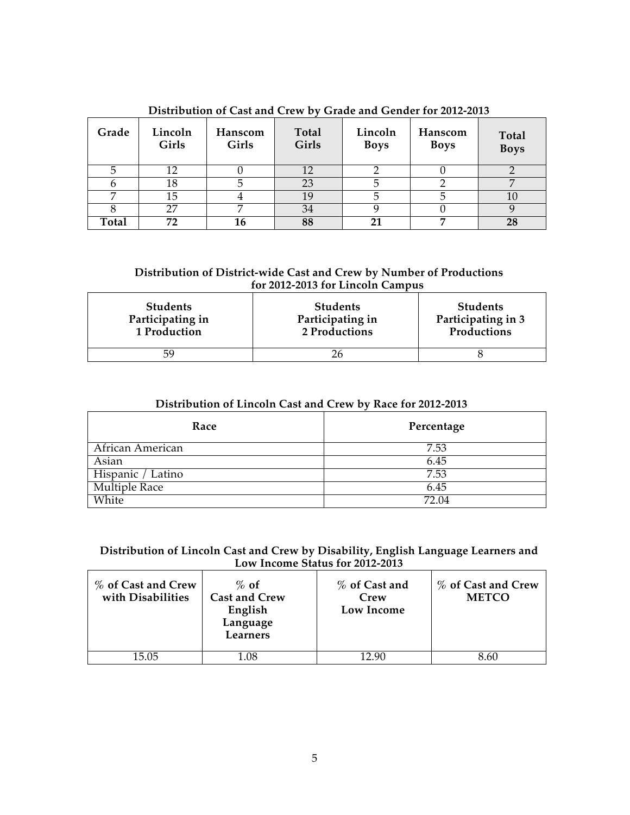| Grade | Lincoln<br>Girls | Hanscom<br>Girls | Total<br>Girls | Lincoln<br><b>Boys</b> | Hanscom<br><b>Boys</b> | Total<br><b>Boys</b> |
|-------|------------------|------------------|----------------|------------------------|------------------------|----------------------|
|       | 12               |                  | 12             |                        |                        |                      |
|       | 18               |                  | 23             |                        |                        |                      |
|       | 15               |                  | 19             |                        |                        |                      |
|       | 27               |                  | 34             |                        |                        |                      |
| Total | 72               | 16               | 88             |                        |                        | 28                   |

**Distribution of Cast and Crew by Grade and Gender for 2012-2013**

### **Distribution of District-wide Cast and Crew by Number of Productions for 2012-2013 for Lincoln Campus**

| <b>Students</b>  | <b>Students</b>  | <b>Students</b>    |
|------------------|------------------|--------------------|
| Participating in | Participating in | Participating in 3 |
| 1 Production     | 2 Productions    | Productions        |
|                  |                  |                    |

# **Distribution of Lincoln Cast and Crew by Race for 2012-2013**

| Race                 | Percentage |  |
|----------------------|------------|--|
| African American     | 7.53       |  |
| Asian                | 6.45       |  |
| Hispanic / Latino    | 7.53       |  |
| <b>Multiple Race</b> | 6.45       |  |
| White                | 72.04      |  |

## **Distribution of Lincoln Cast and Crew by Disability, English Language Learners and Low Income Status for 2012-2013**

| % of Cast and Crew<br>with Disabilities | $\%$ of<br><b>Cast and Crew</b><br>English<br>Language<br>Learners | % of Cast and<br>Crew<br>Low Income | % of Cast and Crew<br><b>METCO</b> |
|-----------------------------------------|--------------------------------------------------------------------|-------------------------------------|------------------------------------|
| 15.05                                   | 1 N8                                                               | 12 QN                               |                                    |